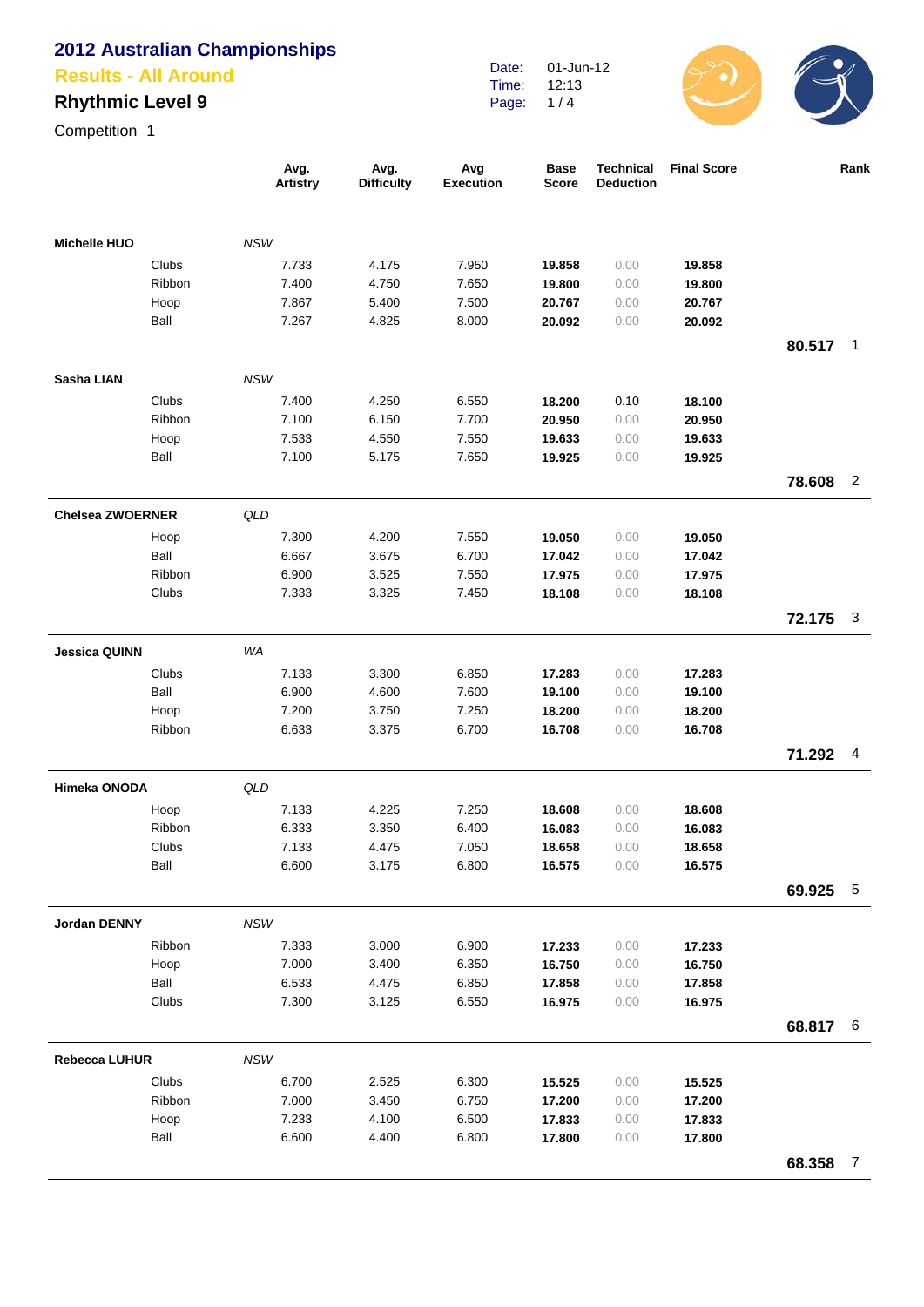### **Results - All Around**

## **Rhythmic Level 9**

| Competition 1           |        |                         |                           |                         |                             |                                      |                    |          |                |
|-------------------------|--------|-------------------------|---------------------------|-------------------------|-----------------------------|--------------------------------------|--------------------|----------|----------------|
|                         |        | Avg.<br><b>Artistry</b> | Avg.<br><b>Difficulty</b> | Avg<br><b>Execution</b> | <b>Base</b><br><b>Score</b> | <b>Technical</b><br><b>Deduction</b> | <b>Final Score</b> |          | Rank           |
| <b>Michelle HUO</b>     |        | <b>NSW</b>              |                           |                         |                             |                                      |                    |          |                |
|                         | Clubs  | 7.733                   | 4.175                     | 7.950                   | 19.858                      | 0.00                                 | 19.858             |          |                |
|                         | Ribbon | 7.400                   | 4.750                     | 7.650                   | 19.800                      | 0.00                                 | 19.800             |          |                |
|                         | Hoop   | 7.867                   | 5.400                     | 7.500                   | 20.767                      | 0.00                                 | 20.767             |          |                |
|                         | Ball   | 7.267                   | 4.825                     | 8.000                   | 20.092                      | 0.00                                 | 20.092             |          |                |
|                         |        |                         |                           |                         |                             |                                      |                    | 80.517   | 1              |
| Sasha LIAN              |        | <b>NSW</b>              |                           |                         |                             |                                      |                    |          |                |
|                         | Clubs  | 7.400                   | 4.250                     | 6.550                   | 18.200                      | 0.10                                 | 18.100             |          |                |
|                         | Ribbon | 7.100                   | 6.150                     | 7.700                   | 20.950                      | 0.00                                 | 20.950             |          |                |
|                         | Hoop   | 7.533                   | 4.550                     | 7.550                   | 19.633                      | 0.00                                 | 19.633             |          |                |
|                         | Ball   | 7.100                   | 5.175                     | 7.650                   | 19.925                      | 0.00                                 | 19.925             |          |                |
|                         |        |                         |                           |                         |                             |                                      |                    | 78.608   | $\overline{2}$ |
| <b>Chelsea ZWOERNER</b> |        | QLD                     |                           |                         |                             |                                      |                    |          |                |
|                         | Hoop   | 7.300                   | 4.200                     | 7.550                   | 19.050                      | 0.00                                 | 19.050             |          |                |
|                         | Ball   | 6.667                   | 3.675                     | 6.700                   | 17.042                      | 0.00                                 | 17.042             |          |                |
|                         | Ribbon | 6.900                   | 3.525                     | 7.550                   | 17.975                      | 0.00                                 | 17.975             |          |                |
|                         | Clubs  | 7.333                   | 3.325                     | 7.450                   | 18.108                      | 0.00                                 | 18.108             |          |                |
|                         |        |                         |                           |                         |                             |                                      |                    | 72.175   | 3              |
| <b>Jessica QUINN</b>    |        | WA                      |                           |                         |                             |                                      |                    |          |                |
|                         | Clubs  | 7.133                   | 3.300                     | 6.850                   | 17.283                      | 0.00                                 | 17.283             |          |                |
|                         | Ball   | 6.900                   | 4.600                     | 7.600                   | 19.100                      | 0.00                                 | 19.100             |          |                |
|                         | Hoop   | 7.200                   | 3.750                     | 7.250                   | 18.200                      | 0.00                                 | 18.200             |          |                |
|                         | Ribbon | 6.633                   | 3.375                     | 6.700                   | 16.708                      | 0.00                                 | 16.708             |          |                |
|                         |        |                         |                           |                         |                             |                                      |                    | 71.292   | 4              |
| Himeka ONODA            |        | QLD                     |                           |                         |                             |                                      |                    |          |                |
|                         | Hoop   | 7.133                   | 4.225                     | 7.250                   | 18.608                      | 0.00                                 | 18.608             |          |                |
|                         | Ribbon | 6.333                   | 3.350                     | 6.400                   | 16.083                      | 0.00                                 | 16.083             |          |                |
|                         | Clubs  | 7.133                   | 4.475                     | 7.050                   | 18.658                      | 0.00                                 | 18.658             |          |                |
|                         | Ball   | 6.600                   | 3.175                     | 6.800                   | 16.575                      | 0.00                                 | 16.575             |          |                |
|                         |        |                         |                           |                         |                             |                                      |                    | 69.925   | $\sqrt{5}$     |
| Jordan DENNY            |        | NSW                     |                           |                         |                             |                                      |                    |          |                |
|                         | Ribbon | 7.333                   | 3.000                     | 6.900                   | 17.233                      | 0.00                                 | 17.233             |          |                |
|                         | Hoop   | 7.000                   | 3.400                     | 6.350                   | 16.750                      | 0.00                                 | 16.750             |          |                |
|                         | Ball   | 6.533                   | 4.475                     | 6.850                   | 17.858                      | 0.00                                 | 17.858             |          |                |
|                         | Clubs  | 7.300                   | 3.125                     | 6.550                   | 16.975                      | 0.00                                 | 16.975             |          |                |
|                         |        |                         |                           |                         |                             |                                      |                    | 68.817 6 |                |
| <b>Rebecca LUHUR</b>    |        | <b>NSW</b>              |                           |                         |                             |                                      |                    |          |                |
|                         | Clubs  | 6.700                   | 2.525                     | 6.300                   | 15.525                      | 0.00                                 | 15.525             |          |                |
|                         | Ribbon | 7.000                   | 3.450                     | 6.750                   | 17.200                      | 0.00                                 | 17.200             |          |                |
|                         | Hoop   | 7.233                   | 4.100                     | 6.500                   | 17.833                      | 0.00                                 | 17.833             |          |                |
|                         | Ball   | 6.600                   | 4.400                     | 6.800                   | 17.800                      | 0.00                                 | 17.800             |          |                |
|                         |        |                         |                           |                         |                             |                                      |                    | 68.358   | $\overline{7}$ |

Date: Time: Page: 01-Jun-12 12:13  $1/4$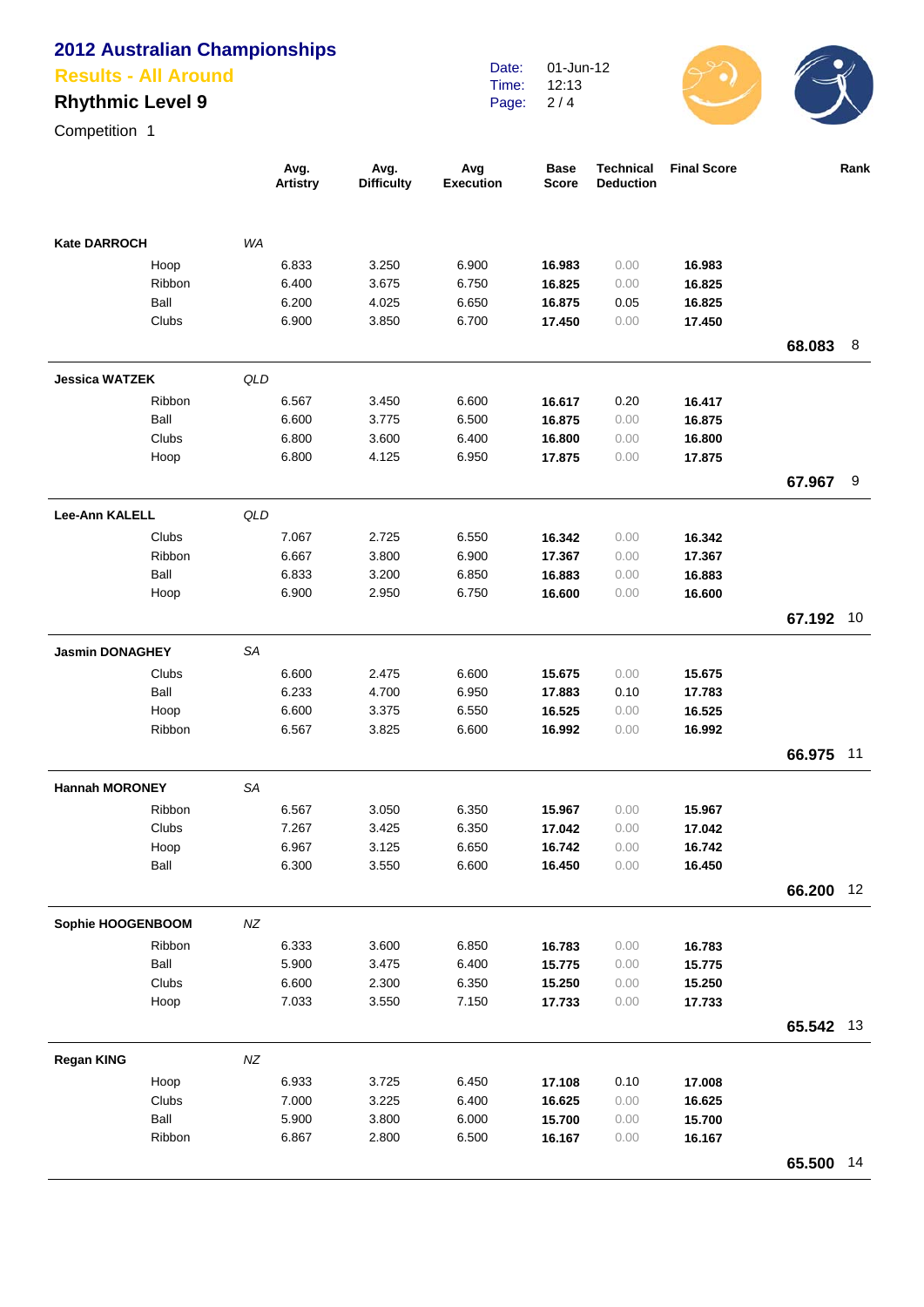#### **Results - All Around**

## **Rhythmic Level 9**

Date: Time: Page: 01-Jun-12 12:13  $2/4$ 



Competition 1

|                        |        |           | Avg.<br><b>Artistry</b> | Avg.<br><b>Difficulty</b> | Avg<br><b>Execution</b> | <b>Base</b><br>Score | <b>Technical</b><br><b>Deduction</b> | <b>Final Score</b> |           | Rank |
|------------------------|--------|-----------|-------------------------|---------------------------|-------------------------|----------------------|--------------------------------------|--------------------|-----------|------|
| <b>Kate DARROCH</b>    |        | <b>WA</b> |                         |                           |                         |                      |                                      |                    |           |      |
|                        | Hoop   |           | 6.833                   | 3.250                     | 6.900                   | 16.983               | 0.00                                 | 16.983             |           |      |
|                        | Ribbon |           | 6.400                   | 3.675                     | 6.750                   | 16.825               | 0.00                                 | 16.825             |           |      |
|                        | Ball   |           | 6.200                   | 4.025                     | 6.650                   | 16.875               | 0.05                                 | 16.825             |           |      |
|                        | Clubs  |           | 6.900                   | 3.850                     | 6.700                   | 17.450               | 0.00                                 | 17.450             |           |      |
|                        |        |           |                         |                           |                         |                      |                                      |                    | 68.083    | 8    |
| <b>Jessica WATZEK</b>  |        | QLD       |                         |                           |                         |                      |                                      |                    |           |      |
|                        | Ribbon |           | 6.567                   | 3.450                     | 6.600                   | 16.617               | 0.20                                 | 16.417             |           |      |
|                        | Ball   |           | 6.600                   | 3.775                     | 6.500                   | 16.875               | 0.00                                 | 16.875             |           |      |
|                        | Clubs  |           | 6.800                   | 3.600                     | 6.400                   | 16.800               | 0.00                                 | 16.800             |           |      |
|                        | Hoop   |           | 6.800                   | 4.125                     | 6.950                   | 17.875               | 0.00                                 | 17.875             |           |      |
|                        |        |           |                         |                           |                         |                      |                                      |                    | 67.967    | -9   |
| <b>Lee-Ann KALELL</b>  |        | QLD       |                         |                           |                         |                      |                                      |                    |           |      |
|                        | Clubs  |           | 7.067                   | 2.725                     | 6.550                   | 16.342               | 0.00                                 | 16.342             |           |      |
|                        | Ribbon |           | 6.667                   | 3.800                     | 6.900                   | 17.367               | 0.00                                 | 17.367             |           |      |
|                        | Ball   |           | 6.833                   | 3.200                     | 6.850                   | 16.883               | 0.00                                 | 16.883             |           |      |
|                        | Hoop   |           | 6.900                   | 2.950                     | 6.750                   | 16.600               | 0.00                                 | 16.600             |           |      |
|                        |        |           |                         |                           |                         |                      |                                      |                    | 67.192    | 10   |
| <b>Jasmin DONAGHEY</b> |        | SA        |                         |                           |                         |                      |                                      |                    |           |      |
|                        | Clubs  |           | 6.600                   | 2.475                     | 6.600                   | 15.675               | 0.00                                 | 15.675             |           |      |
|                        | Ball   |           | 6.233                   | 4.700                     | 6.950                   | 17.883               | 0.10                                 | 17.783             |           |      |
|                        | Hoop   |           | 6.600                   | 3.375                     | 6.550                   | 16.525               | 0.00                                 | 16.525             |           |      |
|                        | Ribbon |           | 6.567                   | 3.825                     | 6.600                   | 16.992               | 0.00                                 | 16.992             |           |      |
|                        |        |           |                         |                           |                         |                      |                                      |                    | 66.975    | 11   |
| <b>Hannah MORONEY</b>  |        | <b>SA</b> |                         |                           |                         |                      |                                      |                    |           |      |
|                        | Ribbon |           | 6.567                   | 3.050                     | 6.350                   | 15.967               | 0.00                                 | 15.967             |           |      |
|                        | Clubs  |           | 7.267                   | 3.425                     | 6.350                   | 17.042               | 0.00                                 | 17.042             |           |      |
|                        | Hoop   |           | 6.967                   | 3.125                     | 6.650                   | 16.742               | 0.00                                 | 16.742             |           |      |
|                        | Ball   |           | 6.300                   | 3.550                     | 6.600                   | 16.450               | 0.00                                 | 16.450             |           |      |
|                        |        |           |                         |                           |                         |                      |                                      |                    | 66.200    | 12   |
| Sophie HOOGENBOOM      |        | $N\!Z$    |                         |                           |                         |                      |                                      |                    |           |      |
|                        | Ribbon |           | 6.333                   | 3.600                     | 6.850                   | 16.783               | 0.00                                 | 16.783             |           |      |
|                        | Ball   |           | 5.900                   | 3.475                     | 6.400                   | 15.775               | 0.00                                 | 15.775             |           |      |
|                        | Clubs  |           | 6.600                   | 2.300                     | 6.350                   | 15.250               | 0.00                                 | 15.250             |           |      |
|                        | Hoop   |           | 7.033                   | 3.550                     | 7.150                   | 17.733               | 0.00                                 | 17.733             |           |      |
|                        |        |           |                         |                           |                         |                      |                                      |                    | 65.542 13 |      |
| <b>Regan KING</b>      |        | NZ        |                         |                           |                         |                      |                                      |                    |           |      |
|                        | Hoop   |           | 6.933                   | 3.725                     | 6.450                   | 17.108               | 0.10                                 | 17.008             |           |      |
|                        | Clubs  |           | 7.000                   | 3.225                     | 6.400                   | 16.625               | 0.00                                 | 16.625             |           |      |
|                        | Ball   |           | 5.900                   | 3.800                     | 6.000                   | 15.700               | 0.00                                 | 15.700             |           |      |
|                        | Ribbon |           | 6.867                   | 2.800                     | 6.500                   | 16.167               | 0.00                                 | 16.167             |           |      |
|                        |        |           |                         |                           |                         |                      |                                      |                    | 65.500 14 |      |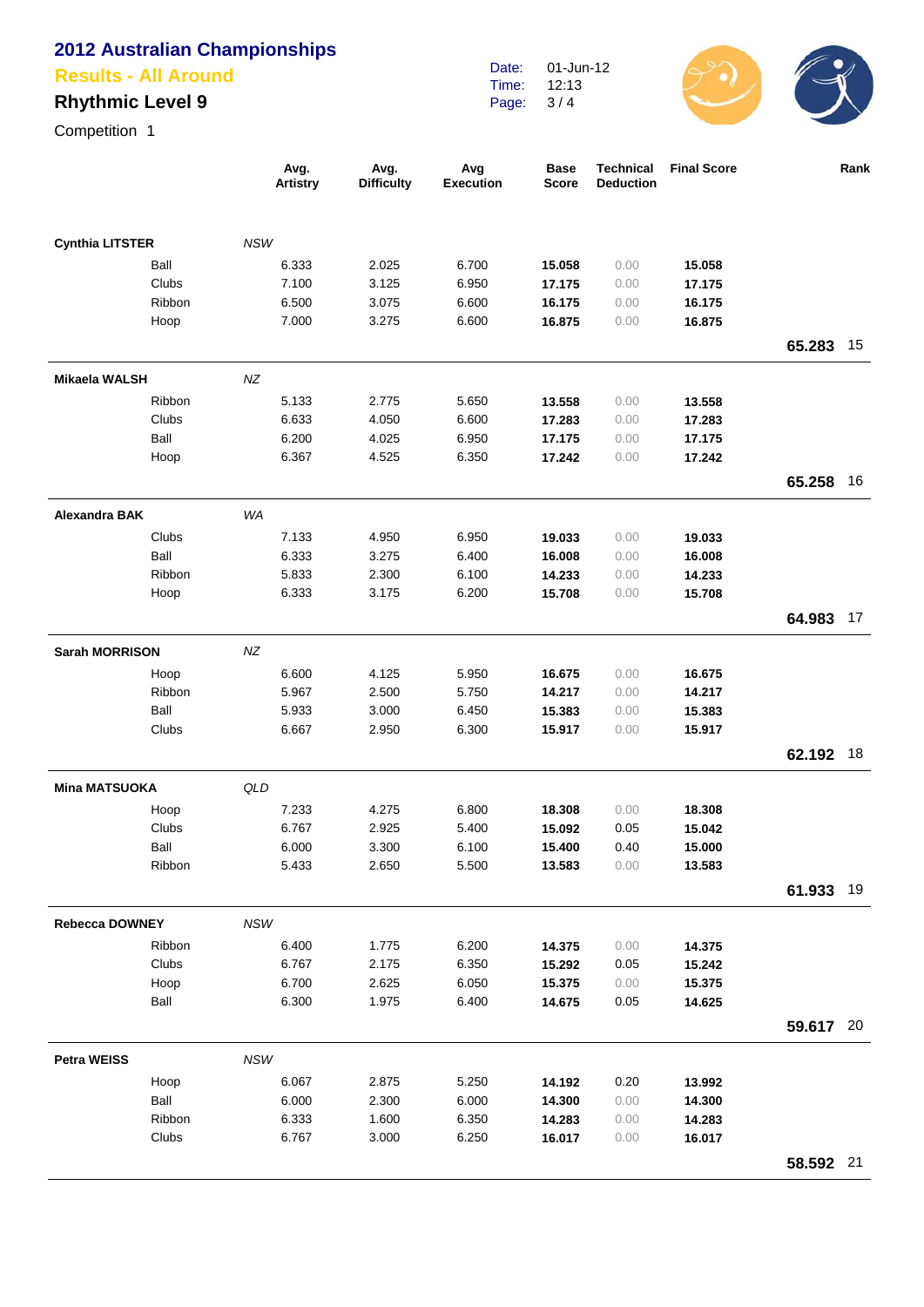#### **Results - All Around**

## **Rhythmic Level 9**

Competition 1

|                        |        |            | Avg.<br><b>Artistry</b> | Avg.<br><b>Difficulty</b> | Avg<br><b>Execution</b> | <b>Base</b><br><b>Score</b> | <b>Technical</b><br><b>Deduction</b> | <b>Final Score</b> |           | Rank |
|------------------------|--------|------------|-------------------------|---------------------------|-------------------------|-----------------------------|--------------------------------------|--------------------|-----------|------|
| <b>Cynthia LITSTER</b> |        | <b>NSW</b> |                         |                           |                         |                             |                                      |                    |           |      |
|                        | Ball   |            | 6.333                   | 2.025                     | 6.700                   | 15.058                      | 0.00                                 | 15.058             |           |      |
|                        | Clubs  |            | 7.100                   | 3.125                     | 6.950                   | 17.175                      | 0.00                                 | 17.175             |           |      |
|                        | Ribbon |            | 6.500                   | 3.075                     | 6.600                   | 16.175                      | 0.00                                 | 16.175             |           |      |
|                        | Hoop   |            | 7.000                   | 3.275                     | 6.600                   | 16.875                      | 0.00                                 | 16.875             |           |      |
|                        |        |            |                         |                           |                         |                             |                                      |                    | 65.283    | - 15 |
| <b>Mikaela WALSH</b>   |        | NZ         |                         |                           |                         |                             |                                      |                    |           |      |
|                        | Ribbon |            | 5.133                   | 2.775                     | 5.650                   | 13.558                      | 0.00                                 | 13.558             |           |      |
|                        | Clubs  |            | 6.633                   | 4.050                     | 6.600                   | 17.283                      | 0.00                                 | 17.283             |           |      |
|                        | Ball   |            | 6.200                   | 4.025                     | 6.950                   | 17.175                      | 0.00                                 | 17.175             |           |      |
|                        | Hoop   |            | 6.367                   | 4.525                     | 6.350                   | 17.242                      | 0.00                                 | 17.242             |           |      |
|                        |        |            |                         |                           |                         |                             |                                      |                    | 65.258    | -16  |
| <b>Alexandra BAK</b>   |        | WA         |                         |                           |                         |                             |                                      |                    |           |      |
|                        | Clubs  |            | 7.133                   | 4.950                     | 6.950                   | 19.033                      | 0.00                                 | 19.033             |           |      |
|                        | Ball   |            | 6.333                   | 3.275                     | 6.400                   | 16.008                      | 0.00                                 | 16.008             |           |      |
|                        | Ribbon |            | 5.833                   | 2.300                     | 6.100                   | 14.233                      | 0.00                                 | 14.233             |           |      |
|                        | Hoop   |            | 6.333                   | 3.175                     | 6.200                   | 15.708                      | 0.00                                 | 15.708             |           |      |
|                        |        |            |                         |                           |                         |                             |                                      |                    | 64.983    | 17   |
| <b>Sarah MORRISON</b>  |        | NZ         |                         |                           |                         |                             |                                      |                    |           |      |
|                        | Hoop   |            | 6.600                   | 4.125                     | 5.950                   | 16.675                      | 0.00                                 | 16.675             |           |      |
|                        | Ribbon |            | 5.967                   | 2.500                     | 5.750                   | 14.217                      | 0.00                                 | 14.217             |           |      |
|                        | Ball   |            | 5.933                   | 3.000                     | 6.450                   | 15.383                      | 0.00                                 | 15.383             |           |      |
|                        | Clubs  |            | 6.667                   | 2.950                     | 6.300                   | 15.917                      | 0.00                                 | 15.917             |           |      |
|                        |        |            |                         |                           |                         |                             |                                      |                    | 62.192    | 18   |
| <b>Mina MATSUOKA</b>   |        | QLD        |                         |                           |                         |                             |                                      |                    |           |      |
|                        | Hoop   |            | 7.233                   | 4.275                     | 6.800                   | 18.308                      | 0.00                                 | 18.308             |           |      |
|                        | Clubs  |            | 6.767                   | 2.925                     | 5.400                   | 15.092                      | 0.05                                 | 15.042             |           |      |
|                        | Ball   |            | 6.000                   | 3.300                     | 6.100                   | 15.400                      | 0.40                                 | 15.000             |           |      |
|                        | Ribbon |            | 5.433                   | 2.650                     | 5.500                   | 13.583                      | 0.00                                 | 13.583             |           |      |
|                        |        |            |                         |                           |                         |                             |                                      |                    | 61.933 19 |      |
| <b>Rebecca DOWNEY</b>  |        | <b>NSW</b> |                         |                           |                         |                             |                                      |                    |           |      |
|                        | Ribbon |            | 6.400                   | 1.775                     | 6.200                   | 14.375                      | 0.00                                 | 14.375             |           |      |
|                        | Clubs  |            | 6.767                   | 2.175                     | 6.350                   | 15.292                      | 0.05                                 | 15.242             |           |      |
|                        | Hoop   |            | 6.700                   | 2.625                     | 6.050                   | 15.375                      | 0.00                                 | 15.375             |           |      |
|                        | Ball   |            | 6.300                   | 1.975                     | 6.400                   | 14.675                      | 0.05                                 | 14.625             |           |      |
|                        |        |            |                         |                           |                         |                             |                                      |                    | 59.617 20 |      |
| <b>Petra WEISS</b>     |        | NSW        |                         |                           |                         |                             |                                      |                    |           |      |
|                        | Hoop   |            | 6.067                   | 2.875                     | 5.250                   | 14.192                      | 0.20                                 | 13.992             |           |      |
|                        | Ball   |            | 6.000                   | 2.300                     | 6.000                   | 14.300                      | 0.00                                 | 14.300             |           |      |
|                        | Ribbon |            | 6.333                   | 1.600                     | 6.350                   | 14.283                      | 0.00                                 | 14.283             |           |      |
|                        | Clubs  |            | 6.767                   | 3.000                     | 6.250                   | 16.017                      | 0.00                                 | 16.017             |           |      |
|                        |        |            |                         |                           |                         |                             |                                      |                    | 58.592 21 |      |

Date: Time: Page: 01-Jun-12 12:13  $3/4$ 

 $\overline{\phantom{a}}$